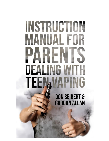## INSTRUCTION IANUAL FOR PAREI **DEALING WI** TEI **TAPING**

**DON SEIBERT & GORDON ALLAN**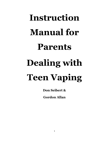# **Instruction Manual for Parents Dealing with Teen Vaping**

**Don Seibert &**

**Gordon Allan**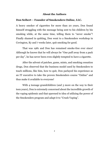#### **About the Authors**

#### **Don Seibert – Founder of Smokenders Online, LLC.**

A heavy smoker of cigarettes for more than 20 years, Don found himself struggling with the message being sent to his children by his smoking while, at the same time, telling them to "never smoke"! Finally shamed in quitting, Don went to a Smokenders workshop in Covington, Ky and 7 weeks later, quit smoking for good.

That was 1981 and Don has remained smoke-free ever since! Although he knows that he will always be "One puff away from a pack per day", he has never been even slightly tempted to have a cigarette.

After the advent of patches, gums, mints, and smoking cessation drugs, Don observed that the business model used by Smokenders to teach millions, like him, how to quit, Don parlayed his experience as an IT executive to take the proven Smokenders course "Online" and thus make it available to everyone!

With 4 teenage grandchildren (and 3 more on the way to their teen years), Don is extremely concerned about the incredible growth of the vaping epidemic and that spawned to idea of utilizing the power of the Smokenders program and adapt it to "Crush Vaping".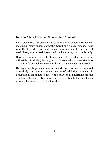## **Gordon Allan, Principal, Smokenders / Canada**

Forty plus years ago Gordon walked into a Smokenders introductory meeting, in New Canaan, Connecticut, trailing a cloud of smoke. Those were the days when you could smoke anywhere, and he did. Several weeks later, as promised, he stopped smoking calmly and comfortably.

Gordon then went on to be trained as a Smokenders Moderator, ultimately introducing the program to Canada, where he assisted tens of thousands of smokers to stop, utilizing the Smokenders approach.

Having a deeply personal interest in addiction, Gordon has inquired extensively into the existential nature of addiction. Among his observations on addiction is: "At the heart of all addictions lies the avoidance of anxiety". Teen vapers are no exception to that conclusion as you will discover in the chapters ahead.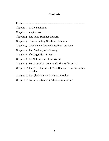#### **Contents**

Preface ………………………………………………………………………………

- Chapter 1 In the Beginning
- Chapter 2 Vaping 101
- Chapter 3 The Vape Supplier Industry
- Chapter 4 Understanding Nicotine Addiction
- Chapter 5 The Vicious Cycle of Nicotine Addiction
- Chapter 6 The Anatomy of a Craving
- Chapter 7 The Legalities of Vaping
- Chapter 8 It's Not the End of the World
- Chapter 9 You Are Not in Command! The Addiction Is!
- Chapter 10 The Need for Parent-Teen Dialogue Has Never Been Greater
- Chapter 11 Everybody Seems to Have a Problem
- Chapter 12 Forming a Team to Achieve Commitment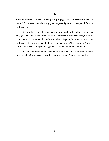### **Preface**

When you purchase a new car, you get a 300 page, very comprehensive owner's manual that answers just about any question you might ever come up with for that particular car.

On the other hand, when you bring home a new baby from the hospital, you may get a few diapers and lotions that are compliments of their makers, but there is no instruction manual that tells you what things might come up with that particular baby or how to handle them. You just have to "learn by living", and as various unexpected things happen, you learn to deal with them "on the fly".

It is the intention of this manual to assist you in yet another of those unexpected and worrisome things that has now risen to the top. Teen Vaping!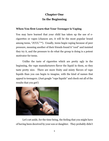## **Chapter One In the Beginning**

## **When You first Learn that Your Teenager is Vaping**

You may have learned that your child has taken up the use of ecigarettes or vapes (chances are, it will be the most popular brand among teens, "JUUL"™). Usually, teens begin vaping because of peer pressure, meaning another of their friends found it "cool" and insisted they try it, and the pressure to do what the group is doing is a potent motivator for teens.

Unlike the taste of cigarettes which are pretty ugly in the beginning, the vape manufacturers flavor the liquid in them, so they taste pretty nice. There are more fruity and minty flavors of vape liquids than you can begin to imagine, with the kind of names that appeal to teenagers. (Just google "vape liquids" and check out all of the results that you get!)



Let's set aside, for the time being, the feeling that you might have of having been deceived by your son or daughter. They probably didn't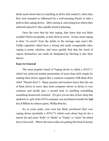think much about that (or anything at all for that matter!), when they first were tempted or influenced by a well-meaning friend, to take a puff on that vaping device. After tasting it, and seeing how others they admired enjoyed it, they quickly found it pleasing.

Once thy were that far into vaping, they knew that you likely wouldn't find it acceptable, so they did it in secret. In fact, most vaping is done "in secret" from the adults in the teenage vape user's life. Unlike cigarettes which have a strong and easily recognizable odor, vaping is pretty odorless, and teens quickly find that the cloud of vapors themselves can easily be dissipated by blowing it into their sleeve!

#### **Easy to Conceal**

The most popular brand of Vaping device is called a  $JUUL^{TM}$ , which has achieved market penetration of more than 60% simply by making their device appear like a common computer USB flash drive (AKA "Thumb drive"). Many parents and teachers know that the use of flash drives to move data from computer device to device is very common and hardly give a second look to anything resembling something homework-oriented. (To give you an idea of how deep this epidemic is, 35% of the JUUL company was purchased recently for \$38 \$12.8 Billion by tobacco giant, Phillip Morris).

So, at some point, your teen has likely purchased their own vaping device (probably a JUUL<sup>™</sup>) which costs about \$55-60 for a starter kit and some "Pods" or "Mods" or "Tanks" or "Juice" for about \$15 to \$20 each. Where the teens today are getting this kind of money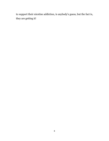to support their nicotine addiction, is anybody's guess, but the fact is, they are getting it!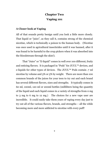## **Chapter Two Vaping 101**

### **A Closer look at Vaping**

All of that sounds pretty benign until you look a little more closely. That liquid or "juice", as they call it, contains strong of the chemical nicotine, which is technically a poison to the human body. (Nicotine was once used in agricultural insecticides until it was banned, after it was found to be harmful to the crop pickers when it was absorbed into the bloodstream through the skin!).

That "Juice" or "E-liquid" comes in well over 100 different, fruity and enticing flavors. It is packaged in "Pods" for JUUL™ devices, and e-liquids for other types of devices. The JUUL™ Pods contain .7 ml nicotine by volume and 3% or 5% by weight. There are more than 100 common brands of the juices for your teen to try out and each brand has several different flavors, sizes and strengths. It typically comes in 60 ml, 100ml, 120 ml or 200ml bottles (milliliters being the quantity of the liquid and each liquid comes in a variety of strengths from 0 mg to 3 mg to 6 mg to 12 mg.) The choices for a new vape user are incredible. It could easily take them years of vaping every day just to try out all of the various flavors, brands, and strengths – all the while becoming more and more addicted to nicotine with every puff!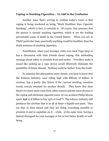#### **Vaping vs Smoking Cigarettes – To Add to the Confusion**

Another issue that's serving to confuse today's teens is that vaping is being marketed as being "Much Healthier than Cigarette Smoking", which in fact, it certainly is. Of course, that assumes that the person is already smoking cigarettes, which is are the leading preventable cause of death in the United States! When you are in THAT particular boat, practically anything would be healthier than the death sentence of smoking cigarettes.

Nonetheless, when your teenager visits your local Vape shop or has a discussion with their friends about vaping, this misleading message about safety is certainly front and center. Providers make it sound like picking up a vape device would effectively eliminate the possibility of future disease. Nothing could be farther from the truth!

To examine this phenomena more closely, you have to know that the Tobacco industry, once riding high with Billions of dollars in revenue, has a pretty dim future if the current smoking cessation trends remain constant for another decade. They know that their future revenues must come from other sources and the most obvious is the vaping and electronic cigarette users. It's no accident Philip Morris spent  $$38$  12.8 billion to buy 35% of Juul<sup>TM</sup>! The tobacco industry still produces the nicotine that is in all of those e-liquids and pods. They see that as their future and they are doing everything possible to promote it and to capialtize on it – while, at the same time, having a blatant disregard for your teenager or his or her future health or wellbeing.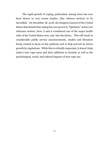The rapid growth of vaping, particularly among teens has now been shown in very recent studies, (See referece section) to be incredible. On December 18, 2018, the Surgeon General of the United States determined that vaping has now grown to "Epidemic" status (see reference section, Item 1) and is considered one of the major health risks of the United States now, and into the future. This will result in considerable public service announcements, studies and literature being created to focus on the epidemic and to help prevent its future growth by regulations. While this is critically important, it doesn't help today's teen vape users and their addiction to nicotine as well as the psychological, social, and cultural impacts of teen vape use.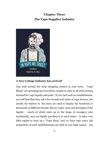## **Chapter Three The Vape Supplier Industry**



## **A New Cottage Industry has arrived!**

Just look around the strip shopping centers in your town. "Vape Shops" are springing up everywhere, mainly to cater to all of the arising demand for vape liquids and pods. If you visit such an establishment, you will find that they sell a few brands and styles of vape devices, but mostly the shelves in the store are used to display the hundreds or thousands of different brands, flavors, types, sizes and strengths of the liquids – much of which ends up in the lungs of teenagers who incidentally, may not legally purchase it in most states. It takes very little capital to start up a "Vape Shop" and, to Teen vape users, the proprietors of such establishments are held in very high regard – not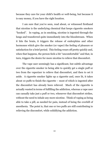because they care for your child's health or well-being, but because it is easy money, if you have the right location.

I am sure that you've seen, read about, or witnessed firsthand that nicotine is the underlying chemical that keeps cigarette smokers "hooked". In vaping, as in smoking, nicotine is ingested through the lungs and transferred quite immediately into the bloodstream. When it hits the brain, it triggers the release of endorphins and other hormones which give the smoker (or vaper) the feeling of pleasure or satisfaction for a brief period. This feeling wears off pretty quickly and, when that happens, the person feels a bit "uncomfortable" and that, in turn, triggers the desire for more nicotine to relieve that discomfort.

The vape user seemingly has a significant, but subtle advantage over the cigarette smoker in being able to quickly get a single puff or two from the vaporizer to relieve that discomfort, and then to set it aside. A cigarette smoker lights up a cigarette and, once lit, it takes about 10 puffs to finish the cigarette – most of which is ingested after the discomfort has already been relieved. Much of the cigarette is actually wasted in terms of fulfilling the addiction, whereas a vape user can casually take just a puff or two, whenever that discomfort strikes, without the need to inhale any more nicotine. Think of vaping as being able to take a pill, as needed for pain, instead of being the overkill of anesthesia. The point is, that one or two puffs are still contributing to relieving the discomfort, while solidifying the addiction.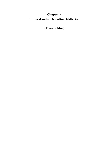## **Chapter 4 Understanding Nicotine Addiction**

**(Placeholder)**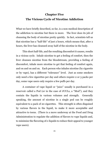## **Chapter Five The Vicious Cycle of Nicotine Addiction**

What we have briefly described, so far, is a non-medical description of the addiction to nicotine but there is more. The liver does its job of cleansing the body of nicotine pretty quickly. In fact, scientists tell us that nicotine has a "half-life" of just 2 hours, which means that, after 2 hours, the liver has cleansed away half of the nicotine in the body.

This short half-life, and the resulting discomfort it causes, results in a vicious cycle. Inhale nicotine to get a feeling of comfort, then the liver cleanses nicotine from the bloodstream, providing a feeling of discomfort, inhale more nicotine to get that feeling of comfort again, and on and on and on. Each person who inhales nicotine (by cigarette or by vape), has a different "tolerance" level. Just as some smokers only need a few cigarettes per day and others require 2 or 3 packs per day, some vape users only require a few puffs per day.

A container of vape liquid or "juice" usually is purchased in a reservoir called a Pod (or in the case of JUULs, a "Mod"), and they contain the liquids in various volumes and strength. Generally speaking, the amount of nicotine in a single pod can be roughly equivalent to a pack of 20 cigarettes. This strength is often disguised by various flavors in the liquid, to make it more acceptable and attractive to teens. (There is a move underway at the Food and Drug Administration to regulate the addition of flavors to vape liquids and, to minimize the flavoring of e-liquids to reduce their appeal to younger vape users).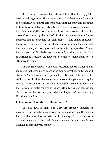Smokers in our courses have always told us that the "enjoy" the taste of their cigarettes. If you, as a non-smoker, have ever take a puff of a cigarette, you know that there is really nothing enjoyable about the taste of burning tobacco. Over time, smokers convince themselves that they "enjoy" the taste because of how the nicotine relieves the discomfort caused by the lack of nicotine in their system and they interpret that as "enjoyable" or "pleasurable". The danger caused by the various fruity, minty and sweet tastes of certain vape liquids is that the vapors really do taste good and can be actually enjoyable. These flavors are especially like by teen vapers and, for this reason, the FDA is working to regulate the flavorful e-liquids to make them not so attractive to teens.

In our Smokenders™ smoking cessation course we teach our graduates that, even many years after they successfully quit, they will always be "A puff away from a pack a day". Because of the lure of the addiction to nicotine, the same thing is true of a person who quits vaping. There seems to be a residual vulnerability to nicotine addiction that persists long after the smoker's body is totally cleansed of nicotine. The reason for that will be explained in the chapter on "Understanding Nicotine Addiction

#### **Is My Son or Daughter Really Addicted?**

The bad news is that, "Yes! They are probably addicted to nicotine if they have been using vape devices and inhaling the poison for more than a week or so. Whether from using tobacco in any form or ingesting vapors into their lungs via vape devices, people get addicted to nicotine very rapidly.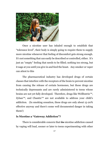

Once a nicotine user has inhaled enough to establish that "tolerance level", their body is simply going to require them to supply more nicotine whenever that feeling of discomfort gets strong enough. It's not something that can easily be described or controlled, either. It's just an "empty" feeling that needs to be filled; nothing too strong, but it nags at you until you give in and feed the beast. Any smoker or vaper can attest to this

The pharmaceutical industry has developed drugs of certain classes that interfere with the receptors of the brain to prevent nicotine from causing the release of certain hormones, but those drugs are technically depressants and are rarely administered to teens whose brains are not yet fully developed. Therefore, drugs like Wellbutrin<sup>™</sup>, Zyban™, and Chantix™ are not available to address your child's addiction. (In smoking cessation, these drugs are only about 15-20% effective anyway and there's some well documented danger in taking them!)

## **Is Nicotine a "Gateway Addiction"?**

There is considerable concern that the nicotine addiction caused by vaping will lead, sooner or later to teens experimenting with other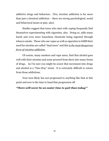addictive drugs and behaviors. (Yes, nicotine addiction is far more than just a chemical addiction – there are strong psychological, social and behavioral issues at play, also)

Studies suggest that teens who start with vaping frequently find themselves experimenting with cigarettes, also. Doing so, adds many harsh and even more hazardous chemicals being ingested through tobacco smoke. Those who use vapes as well as cigarettes to fulfill their need for nicotine are called "dual users" and this *is the most dangerous form of nicotine addiction*.

Of course, many smokers and vape users, find that alcohol goes well with their nicotine and some proceed from there into many forms of drugs. As I'm sure you might be aware that movement into drugs and alcohol is a "One-Way" street. It is extremely difficult to return from those addictions.

Your teen likely has not progressed to anything like that at this point and now is the time to head that progression off.

### *"There will never be an easier time to quit than today!"*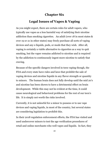## **Chapter Six**

## **Legal Issues of Vapes & Vaping**

As you might expect, there are certain rules for adult vapers, who typically use vapes as a less harmful way of satisfying their nicotine addiction than smoking cigarettes. An adult (over 18 in most states & over 19 or 21 in other states) may freely purchase all sorts of vaping devices and any e-liquids, pods, or mods that they wish. After all, vaping is certainly a viable alternative to cigarettes as a way to quit smoking, but the vaper remains addicted to nicotine and is required by the addiction to continuously ingest more nicotine to satisfy that craving.

Because of the specific dangers involved in teen vaping though, the FDA and every state have rules and laws that prohibit the sale of vaping devices and nicotine liquids in any flavor strength or quantity to minors. The human brain does not fully develop until the mid 20's and nicotine has been shown to have a detrimental effect on brain development. While this may not be evident at the time, it could cause neurological and behavioral problems for the rest of our teen's life. It is simply not worth the risks involved.

Currently, it is not unlawful for a minor to possess or to use vape devices and vaping liquids, in most of the country, but several states are considering legislation to prohibit this.

In their 2018 regulation enforcement efforts, the FDA has visited and used undercover minors to test the age verification procedures of retail and online merchants who well vapes and liquids. In fact, they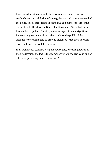have issued reprimands and citations to more than 70,000 such establishments for violation of the regulations and have even revoked the ability to sell these items of some 17,000 businesses. Since the declaration by the Surgeon General in December, 2018, that vaping has reached "Epidemic" status, you may expect to see a significant increase in governmental activities to advise the public of the seriousness of vaping and to provide increased legislation to clamp down on those who violate the rules.

If, in fact, if your teen has a vaping device and/or vaping liquids in their possession, the fact is that somebody broke the law by selling or otherwise providing them to your teen!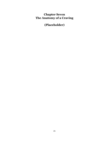## **Chapter Seven The Anatomy of a Craving**

**(Placeholder)**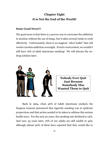## **Chapter Eight It is Not the End of the World!**

## **Some Good News!!!**

The good news is that there is a proven way to overcome the addiction to nicotine without the use of drugs, but it takes several weeks to work effectively. Unfortunately, there is no magical, "silver bullet" that will resolve nicotine addiction overnight. If such a tool existed, we wouldn't still have 16% of adult Americans smoking! We will discuss the nodrug solution later.



**Nobody Ever Quit Just Because Somebody Else Wanted Them to Quit**

Back in 1964, when 46% of Adult Americans smoked, the Surgeon General announced that cigarette smoking was at *epidemic proportions* and that action needed to be taken to address this serious health issue. For the next 30 years, the smoking rate declined to 24%. And now, 55 years later, 16% of our adults are still unable to quit, although almost 90% of them have reported that they would like to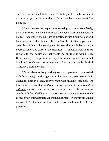quit. Surveys indicated that about 40% of all cigarette smokers attempt to quit each year, with more than 90% of them being unsuccessful at doing so.

When a smoker or vaper quits smoking or vaping completely, their liver works to effectively cleanse the body of nicotine in about 72 hours. (Remember, the half-life of nicotine is just 2 hours, so after 4 hours without replenishment, about 75% of the nicotine is gone and, after about 8 hours, it's 97 % gone. It takes the remainder of the 72 hours to remove all traces of the chemical.) If Nicotine were all there is were to the addiction, that would be all that it would take. Unfortunately, the vape user develops some other psychological, social & cultural attachments to vaping that makes it not a simple physical withdrawal from nicotine.

We have been actively working to assist cigarette smokers to deal with these linkages and triggers, as well as nicotine, to overcome their addiction, since 1969 and, after working with millions of smokers, we have come to learn that, *without a serious personal commitment to quitting*, smokers and vape users are just not able to become comfortably free of addiction. Those who make that commitment seem to find a way, but without that personal desire factor, quitting is almost impossible. To that end we have built motivational modules into our programs.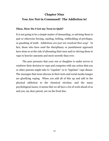## **Chapter Nine You Are Not in Command! The Addiction is!**

#### **Then, How Do I Get my Teen to Quit?**

It is not going to be a simple matter of demanding, or advising them to quit or otherwise forcing, cajoling, bribing, withholding of privileges, or gnashing of teeth. *Addictions are just not resolved that way!* In fact, those who have used the disciplinary or punishment approach have done so at the risk of alienating their teen and/or driving them to vape in heavier amounts and more secretly than ever.

The peer pressure that your son or daughter is under serves to reinforce their decision to vape and competes with any action that you or other parents might take to "regulate" or to "legislate" vape disuse. The messages that teens discuss in their texts and social media images are glorifying vaping. When you add all of this up and add in the physical addiction to the chemical nicotine, and the many psychological issues, it seems that we all have a lot of work ahead of us and you, my dear parent, are on the front line.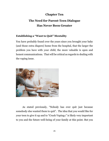## **Chapter Ten**

## **The Need for Parent-Teen Dialogue Has Never Been Greater**

## **Establishing a "Want to Quit" Mentality**

You have probably found over the years since you brought your baby (and those extra diapers) home from the hospital, that the larger the problem you have with your child, the more valuable is open and honest communications. That will be critical as regards to dealing with the vaping issue.



As stated previously, "Nobody has ever quit just because somebody else wanted them to quit". The idea that you would like for your teen to give it up and to "Crush Vaping©" is likely very important to you and the future well-being of your family at this point. But you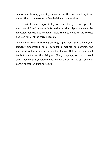cannot simply snap your fingers and make the decision to quit for them. They have to come to that decision for themselves.

It will be your responsibility to ensure that your teen gets the most truthful and accurate information on the subject, delivered by respected sources like yourself. Help them to come to the correct decision for all of the correct reasons.

Once again, when discussing quitting vapes, you have to help your teenager understand, in as rational a manner as possible, the magnitude of the situation, and what is at stake. Getting too emotional tends to shut down the dialogue. (Body language, such as crossed arms, looking away, or statements like "whatever", on the part of either parent or teen, will not be helpful!)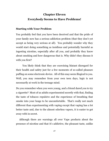## **Chapter Eleven Everybody Seems to Have Problems!**

## **Starting with Your Problem**

You probably feel that you have been deceived and that the pride of your family now has a serious addiction problem (that they don't yet accept as being very serious at all). You probably wonder why they would start doing something as insidious and potentially harmful as ingesting nicotine, especially after all you, and probably they know about smoking and how dangerous that is. Why didn't they discuss it with you first?

You likely think that they are exercising blatant disregard for their health and safety just for a few moments of so-called pleasure puffing on some electronic device. All of this may seem illogical to you. Well, you may remember from your own teen days, logic is not necessarily at work in the teenage mind.

Do you remember when you were young, and a friend dared you to try a cigarette? Most of us adults experimented secretly with that, finding the taste of tobacco repulsive and the experience of breathing that smoke into your lungs to be uncomfortable. That's really not much different than experimenting with vaping except that vaping has a lot better taste and, due to the almost odorless vapors, it is easier to get away with in secret.

Although there are warnings all over Vape products about the presence of nicotine and that it's addictive, the pleasant taste, unlike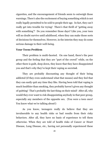cigarettes, and the encouragement of friends seem to outweigh those warnings. There's also the excitement of buying something which is not really legally permitted to be sold to people their age. In fact, they can't really get into trouble for trying! There's that thrill of "getting away with something"! Do you remember those days? Like you, your teen will no doubt survive until adulthood, when they can make those sorts of decisions for themselves. However, in the interim they may do some serious damage to their well-being.

#### **Your Teens Problem**

Their problem is multi-faceted. On one hand, there's the peer group and the feeling that they are "part of the crowd" while, on the other there is guilt, deep down, they know that they have disappointed you and that's why they've kept their vaping so secreted.

They are probably discounting any thought of their being addicted (if they even understand what that means) and they feel that they can easily quit any time they like. Having been told that vaping is much healthier than smoking, they probably haven't given any thought of quitting! That's probably the last thing on their mind! After all, why would they ever want to risk disappointing anybody in that peer group, especially any members of the opposite sex. (You were a teen once! You know what we're talking about!)

As you know, teenagers really do believe that they are invulnerable to any health risks or bad results from their risky behaviors. After all, they have no basis of experience to tell them otherwise. When they are told of health risks of Cancer or Heart Disease, Lung Disease, etc., having not personally experienced these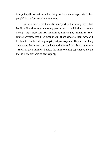things, they think that those bad things will somehow happen to "other people" in the future and not to them.

On the other hand, they also are "part of the family" and that family will outlive any temporary peer group to which they currently belong. But their forward thinking is limited and immature, they cannot envision that their peer group, those close to them now will likely not be in their close group in just 5 or 10 years. They are thinking only about the immediate; the here and now and not about the future – theirs or their families. But it is the family coming together as a team that will enable them to beat vaping.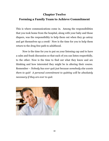## **Chapter Twelve**

## **Forming a Family Team to Achieve Commitment**

This is where communications come in. Among the responsibilities that you took home from the hospital, along with your baby and those diapers, was the responsibility to help them out when they go astray and get themselves up a creek! Now is the time for you to help them return to the drug free path to adulthood.

Now is the time for you to put on your listening cap and to have a calm and frank discussion so that each of you can listen respectfully, to the other. Now is the time to find out what they know and are thinking and how interested they might be in altering their course. Remember – *Nobody has ever quit just because somebody else wants them to quit! A personal commitment to quitting will be absolutely necessary if they are ever to quit.*

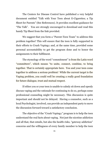The Centers for Disease Control have published a very helpful document entitled "Talk with Your Teen about E-Cigarettes; a Tip Sheet for Parents" (See References). It provides excellent guidance for "The Talk". You are strongly encouraged to download and read this handy Tip Sheet from the link provided.

We suggest that you form a "Parent-Teen Team" to address this problem together! This will ensure that the teen is fully supported in their efforts to Crush Vaping© and, at the same time, provided some personal accountability to get the program done and to honor the assignments to their fulfilment.

The etymology of the word "commitment" is from the Latin word "committere", which means "to unite, connect, combine, to bring together. That is certainly appropriate here. You and your teen come together to address a serious problem! While the current target is the Vaping problem, you could well be creating a really good foundation for future dialogue, trust and mutual respect.

If either you or your teen is unable to calmly sit down and openly discuss vaping and the rationale for continuing to do so, perhaps some professional counseling might be necessary. This discussion is quite important and should not be delayed. Having a counselor, such as a local Psychologist, involved, can provide an independent party to move the discussion forward toward a satisfactory conclusion.

The objective of the "Crush Vaping©" program is to help the teen understand the real facts about vaping. Not just the nicotine addiction and all that, that entails, but also the health risks, "gateway addiction" concerns and the willingness of every family member to help the teen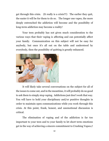get through this crisis. (It really is a crisis!!!) The earlier they quit, the easier it will be for them to do so. The longer one vapes, the more deeply entrenched the addiction will become and the possibility of long-term addiction may become a reality!

Your teen probably has not given much consideration to the various ways that their vaping is affecting and can potentially affect your family. Communication on this subject will not be easy for anybody, but once it's all out on the table and understood by everybody, then the possibility of quitting is greatly enhanced.



It will likely take several conversations on the subject for all of the issues to come out, and in the meantime, it will probably do no good to ask them to simply stop vaping. Addictions just don't work that way. You will have to hold your disciplinary and/or punitive thoughts in order to maintain open communications while you work through this crisis. At this point, frank, honest, and unemotional discussion is critical.

The elimination of vaping and of the addiction is far too important to your teen and to your family to let short term emotions get in the way of achieving a sincere commitment to Crushing Vapes©!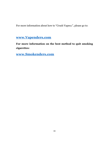For more information about how to "Crush Vapes<sup>®</sup>", please go to:

## **[www.Vapenders.com](file:///C:/Users/cruis/Dropbox/SE%20Intl%20Collaboration/www.Vapenders.com)**

**For more information on the best method to quit smoking cigarettes:**

**[www.Smokenders.com](file:///C:/Users/cruis/Dropbox/SE%20Intl%20Collaboration/www.Smokenders.com)**